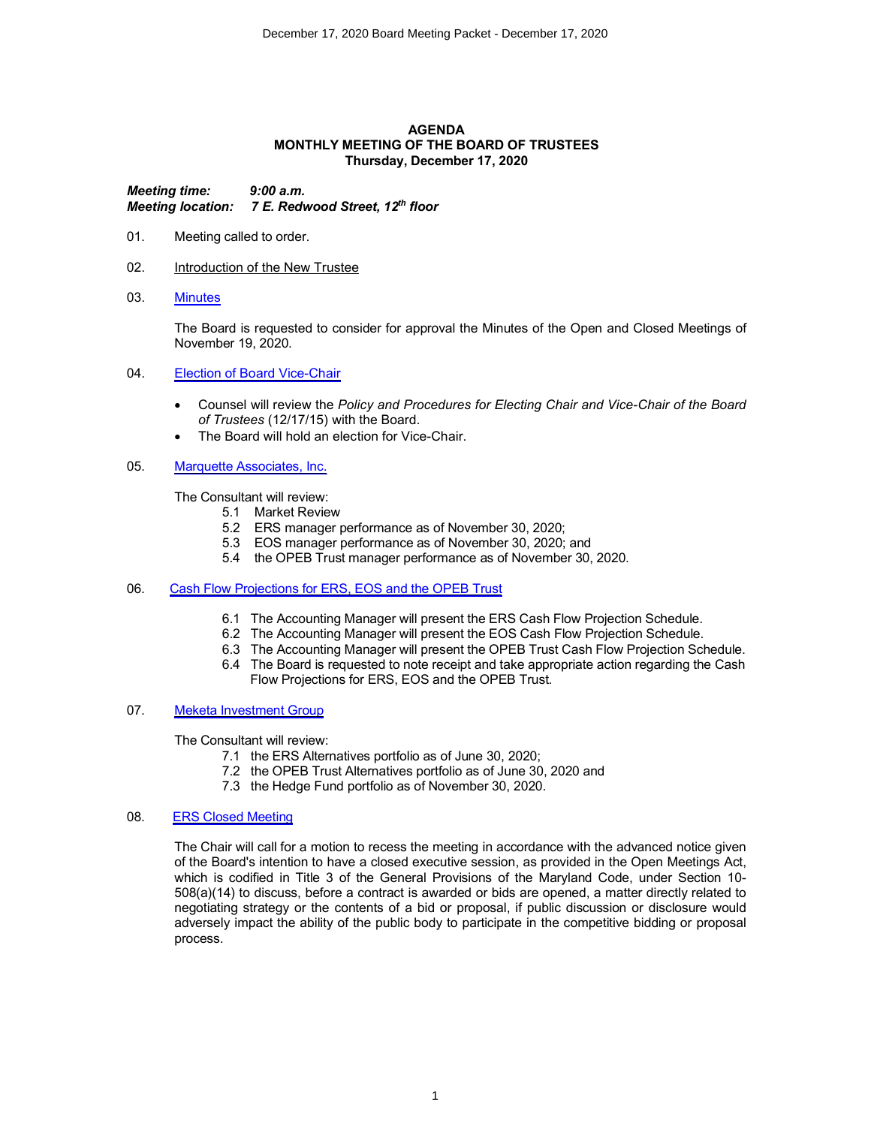### **AGENDA MONTHLY MEETING OF THE BOARD OF TRUSTEES Thursday, December 17, 2020**

*Meeting time: 9:00 a.m. Meeting location: 7 E. Redwood Street, 12th floor*

- 01. Meeting called to order.
- 02. **Introduction of the New Trustee**
- 03. Minutes

The Board is requested to consider for approval the Minutes of the Open and Closed Meetings of November 19, 2020.

- 04. Election of Board Vice-Chair
	- ∑ Counsel will review the *Policy and Procedures for Electing Chair and Vice-Chair of the Board of Trustees* (12/17/15) with the Board.
	- The Board will hold an election for Vice-Chair.
- 05. Marquette Associates, Inc.

The Consultant will review:

- 5.1 Market Review
- 5.2 ERS manager performance as of November 30, 2020;
- 5.3 EOS manager performance as of November 30, 2020; and
- 5.4 the OPEB Trust manager performance as of November 30, 2020.
- 06. Cash Flow Projections for ERS, EOS and the OPEB Trust
	- 6.1 The Accounting Manager will present the ERS Cash Flow Projection Schedule.
	- 6.2 The Accounting Manager will present the EOS Cash Flow Projection Schedule.
	- 6.3 The Accounting Manager will present the OPEB Trust Cash Flow Projection Schedule.
	- 6.4 The Board is requested to note receipt and take appropriate action regarding the Cash Flow Projections for ERS, EOS and the OPEB Trust.
- 07. Meketa Investment Group

The Consultant will review:

- 7.1 the ERS Alternatives portfolio as of June 30, 2020;
- 7.2 the OPEB Trust Alternatives portfolio as of June 30, 2020 and
- 7.3 the Hedge Fund portfolio as of November 30, 2020.

# 08. ERS Closed Meeting

The Chair will call for a motion to recess the meeting in accordance with the advanced notice given of the Board's intention to have a closed executive session, as provided in the Open Meetings Act, which is codified in Title 3 of the General Provisions of the Maryland Code, under Section 10- 508(a)(14) to discuss, before a contract is awarded or bids are opened, a matter directly related to negotiating strategy or the contents of a bid or proposal, if public discussion or disclosure would adversely impact the ability of the public body to participate in the competitive bidding or proposal process.